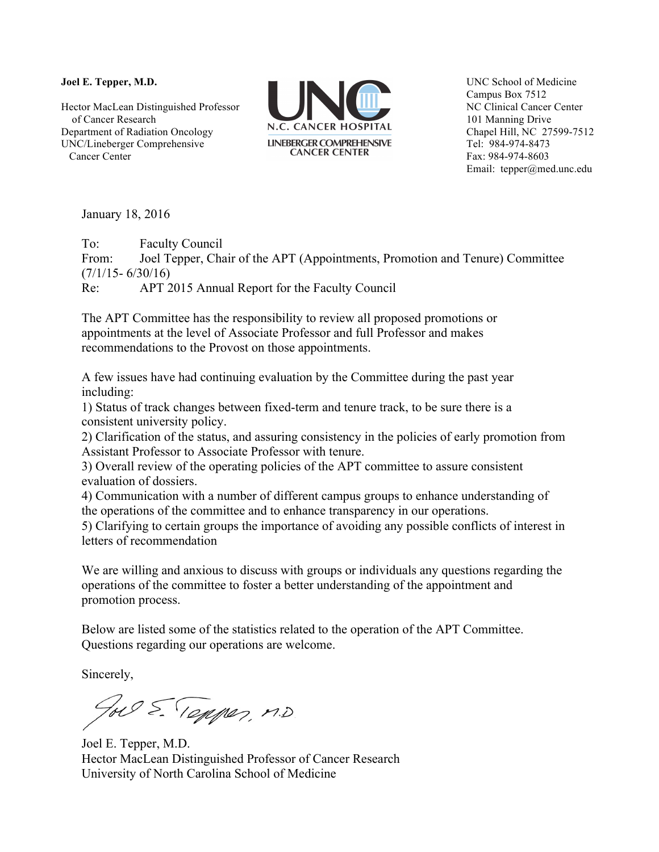**Joel E. Tepper, M.D.**

Hector MacLean Distinguished Professor of Cancer Research Department of Radiation Oncology UNC/Lineberger Comprehensive Cancer Center



UNC School of Medicine Campus Box 7512 NC Clinical Cancer Center 101 Manning Drive Chapel Hill, NC 27599-7512 Tel: 984-974-8473 Fax: 984-974-8603 Email: tepper@med.unc.edu

January 18, 2016

To: Faculty Council From: Joel Tepper, Chair of the APT (Appointments, Promotion and Tenure) Committee  $(7/1/15 - 6/30/16)$ Re: APT 2015 Annual Report for the Faculty Council

The APT Committee has the responsibility to review all proposed promotions or appointments at the level of Associate Professor and full Professor and makes recommendations to the Provost on those appointments.

A few issues have had continuing evaluation by the Committee during the past year including:

1) Status of track changes between fixed-term and tenure track, to be sure there is a consistent university policy.

2) Clarification of the status, and assuring consistency in the policies of early promotion from Assistant Professor to Associate Professor with tenure.

3) Overall review of the operating policies of the APT committee to assure consistent evaluation of dossiers.

4) Communication with a number of different campus groups to enhance understanding of the operations of the committee and to enhance transparency in our operations.

5) Clarifying to certain groups the importance of avoiding any possible conflicts of interest in letters of recommendation

We are willing and anxious to discuss with groups or individuals any questions regarding the operations of the committee to foster a better understanding of the appointment and promotion process.

Below are listed some of the statistics related to the operation of the APT Committee. Questions regarding our operations are welcome.

Sincerely,

To E. Tepper, M.D.

Joel E. Tepper, M.D. Hector MacLean Distinguished Professor of Cancer Research University of North Carolina School of Medicine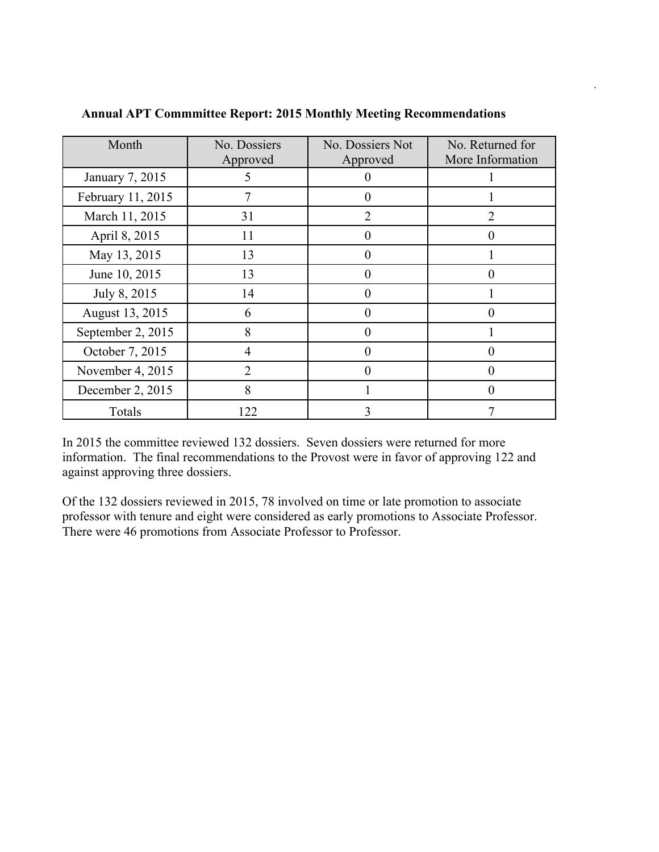| Month             | No. Dossiers<br>Approved | No. Dossiers Not<br>Approved | No. Returned for<br>More Information |
|-------------------|--------------------------|------------------------------|--------------------------------------|
| January 7, 2015   | 5                        |                              |                                      |
| February 11, 2015 | 7                        | 0                            |                                      |
| March 11, 2015    | 31                       | 2                            |                                      |
| April 8, 2015     | 11                       | 0                            | $\mathbf{\Omega}$                    |
| May 13, 2015      | 13                       |                              |                                      |
| June 10, 2015     | 13                       | 0                            | $\mathbf{0}$                         |
| July 8, 2015      | 14                       |                              |                                      |
| August 13, 2015   | 6                        | 0                            |                                      |
| September 2, 2015 | 8                        |                              |                                      |
| October 7, 2015   | 4                        | 0                            | $\mathbf{\Omega}$                    |
| November 4, 2015  | $\overline{2}$           |                              |                                      |
| December 2, 2015  | 8                        |                              | 0                                    |
| Totals            | 122                      | 3                            |                                      |

## **Annual APT Commmittee Report: 2015 Monthly Meeting Recommendations**

.

In 2015 the committee reviewed 132 dossiers. Seven dossiers were returned for more information. The final recommendations to the Provost were in favor of approving 122 and against approving three dossiers.

Of the 132 dossiers reviewed in 2015, 78 involved on time or late promotion to associate professor with tenure and eight were considered as early promotions to Associate Professor. There were 46 promotions from Associate Professor to Professor.